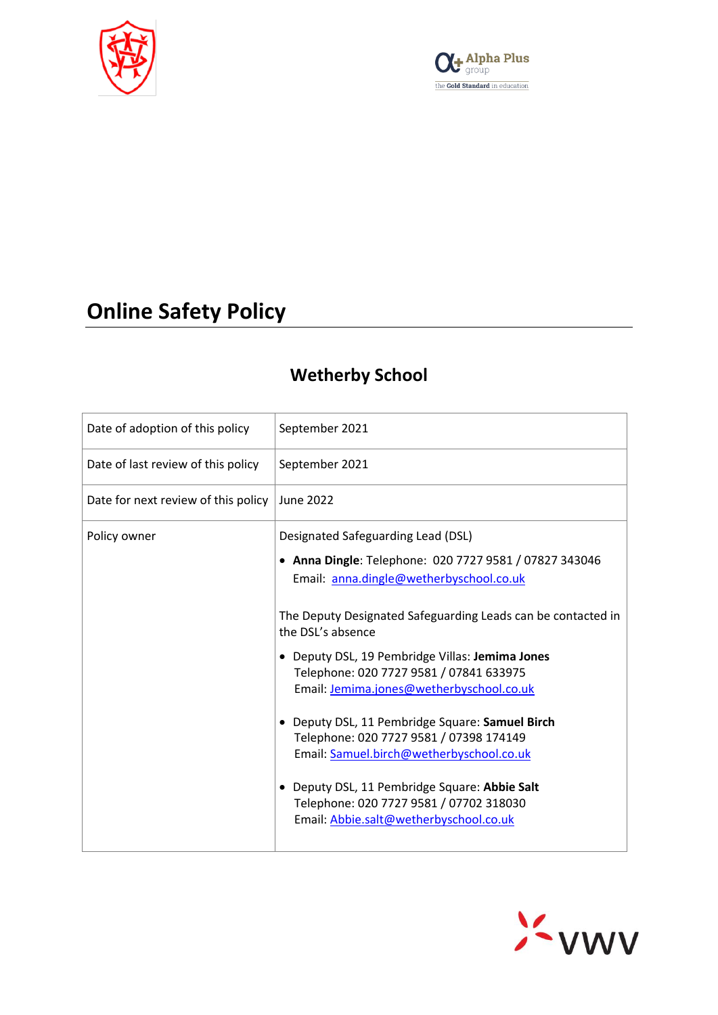



# **Online Safety Policy**

# **Wetherby School**

| Date of adoption of this policy     | September 2021                                                                                                                                                                                                                                                                                                                                                                                                                                                                                                                                                                                                                                   |
|-------------------------------------|--------------------------------------------------------------------------------------------------------------------------------------------------------------------------------------------------------------------------------------------------------------------------------------------------------------------------------------------------------------------------------------------------------------------------------------------------------------------------------------------------------------------------------------------------------------------------------------------------------------------------------------------------|
| Date of last review of this policy  | September 2021                                                                                                                                                                                                                                                                                                                                                                                                                                                                                                                                                                                                                                   |
| Date for next review of this policy | <b>June 2022</b>                                                                                                                                                                                                                                                                                                                                                                                                                                                                                                                                                                                                                                 |
| Policy owner                        | Designated Safeguarding Lead (DSL)<br>• Anna Dingle: Telephone: 020 7727 9581 / 07827 343046<br>Email: anna.dingle@wetherbyschool.co.uk<br>The Deputy Designated Safeguarding Leads can be contacted in<br>the DSL's absence<br>Deputy DSL, 19 Pembridge Villas: Jemima Jones<br>Telephone: 020 7727 9581 / 07841 633975<br>Email: Jemima.jones@wetherbyschool.co.uk<br>Deputy DSL, 11 Pembridge Square: Samuel Birch<br>Telephone: 020 7727 9581 / 07398 174149<br>Email: Samuel.birch@wetherbyschool.co.uk<br>Deputy DSL, 11 Pembridge Square: Abbie Salt<br>Telephone: 020 7727 9581 / 07702 318030<br>Email: Abbie.salt@wetherbyschool.co.uk |

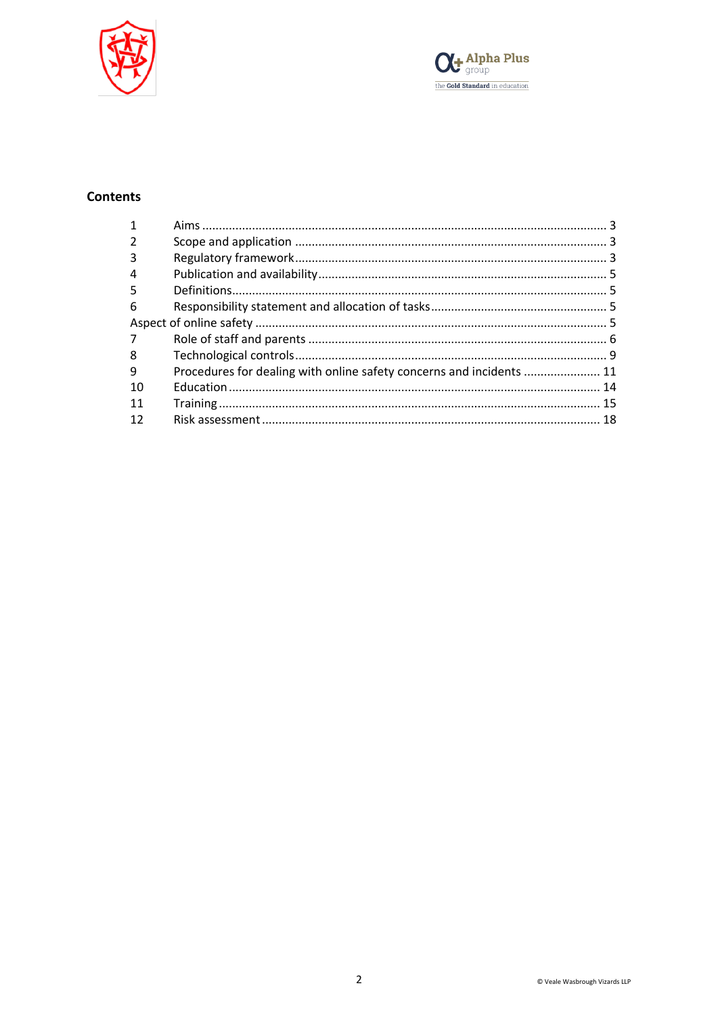



# **Contents**

| 3              |                                                                      |  |
|----------------|----------------------------------------------------------------------|--|
| 4              |                                                                      |  |
| 5              |                                                                      |  |
| 6              |                                                                      |  |
|                |                                                                      |  |
| $\overline{7}$ |                                                                      |  |
| 8              |                                                                      |  |
| 9              | Procedures for dealing with online safety concerns and incidents  11 |  |
| 10             |                                                                      |  |
| -11            |                                                                      |  |
| 12             |                                                                      |  |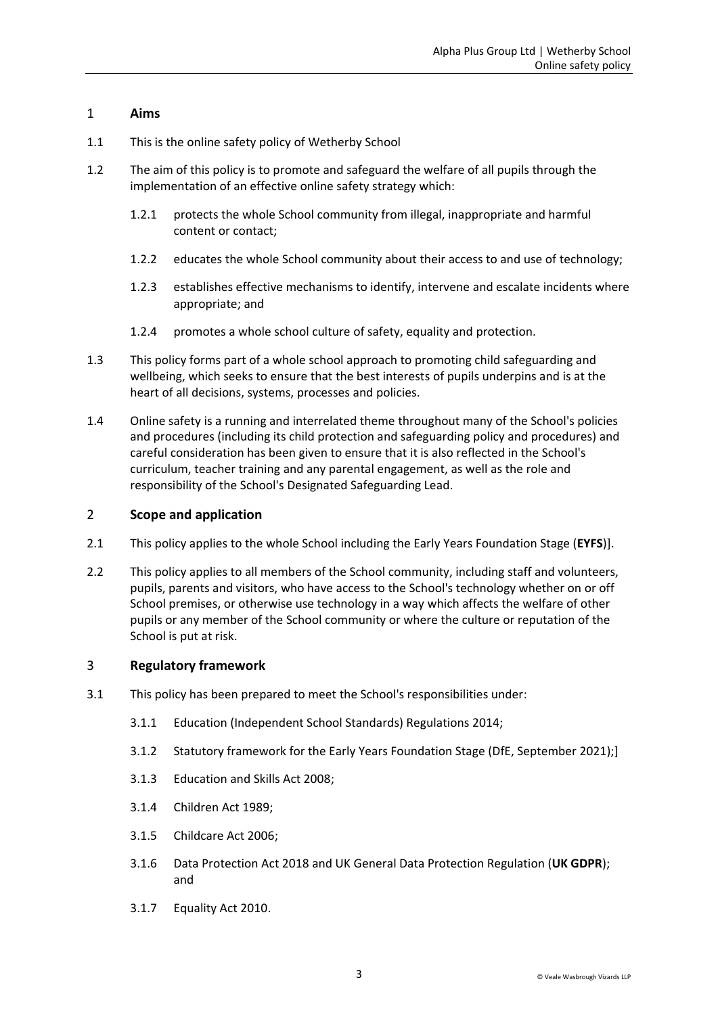### <span id="page-2-0"></span>1 **Aims**

- 1.1 This is the online safety policy of Wetherby School
- 1.2 The aim of this policy is to promote and safeguard the welfare of all pupils through the implementation of an effective online safety strategy which:
	- 1.2.1 protects the whole School community from illegal, inappropriate and harmful content or contact;
	- 1.2.2 educates the whole School community about their access to and use of technology;
	- 1.2.3 establishes effective mechanisms to identify, intervene and escalate incidents where appropriate; and
	- 1.2.4 promotes a whole school culture of safety, equality and protection.
- 1.3 This policy forms part of a whole school approach to promoting child safeguarding and wellbeing, which seeks to ensure that the best interests of pupils underpins and is at the heart of all decisions, systems, processes and policies.
- 1.4 Online safety is a running and interrelated theme throughout many of the School's policies and procedures (including its child protection and safeguarding policy and procedures) and careful consideration has been given to ensure that it is also reflected in the School's curriculum, teacher training and any parental engagement, as well as the role and responsibility of the School's Designated Safeguarding Lead.

## <span id="page-2-1"></span>2 **Scope and application**

- 2.1 This policy applies to the whole School including the Early Years Foundation Stage (**EYFS**)].
- 2.2 This policy applies to all members of the School community, including staff and volunteers, pupils, parents and visitors, who have access to the School's technology whether on or off School premises, or otherwise use technology in a way which affects the welfare of other pupils or any member of the School community or where the culture or reputation of the School is put at risk.

### <span id="page-2-2"></span>3 **Regulatory framework**

- 3.1 This policy has been prepared to meet the School's responsibilities under:
	- 3.1.1 Education (Independent School Standards) Regulations 2014;
	- 3.1.2 Statutory framework for the Early Years Foundation Stage (DfE, September 2021);]
	- 3.1.3 Education and Skills Act 2008;
	- 3.1.4 Children Act 1989;
	- 3.1.5 Childcare Act 2006;
	- 3.1.6 Data Protection Act 2018 and UK General Data Protection Regulation (**UK GDPR**); and
	- 3.1.7 Equality Act 2010.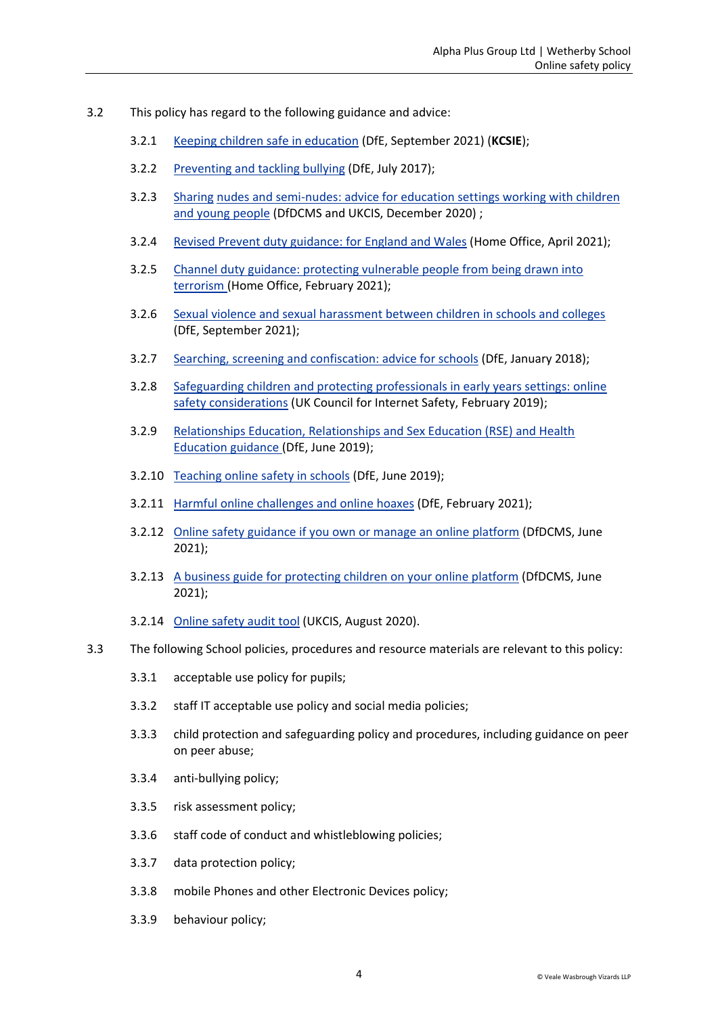- 3.2 This policy has regard to the following guidance and advice:
	- 3.2.1 [Keeping children safe in education](https://www.gov.uk/government/publications/keeping-children-safe-in-education--2) (DfE, September 2021) (**KCSIE**);
	- 3.2.2 [Preventing and tackling bullying](https://www.gov.uk/government/publications/preventing-and-tackling-bullying) (DfE, July 2017);
	- 3.2.3 Sharing [nudes and semi-nudes: advice for education settings working with children](https://www.gov.uk/government/publications/sharing-nudes-and-semi-nudes-advice-for-education-settings-working-with-children-and-young-people/sharing-nudes-and-semi-nudes-advice-for-education-settings-working-with-children-and-young-people)  [and young people](https://www.gov.uk/government/publications/sharing-nudes-and-semi-nudes-advice-for-education-settings-working-with-children-and-young-people/sharing-nudes-and-semi-nudes-advice-for-education-settings-working-with-children-and-young-people) (DfDCMS and UKCIS, December 2020) ;
	- 3.2.4 [Revised Prevent duty guidance: for England and Wales](https://www.gov.uk/government/publications/prevent-duty-guidance/revised-prevent-duty-guidance-for-england-and-wales) (Home Office, April 2021);
	- 3.2.5 [Channel duty guidance: protecting vulnerable people from being drawn into](https://www.gov.uk/government/publications/channel-and-prevent-multi-agency-panel-pmap-guidance)  [terrorism \(](https://www.gov.uk/government/publications/channel-and-prevent-multi-agency-panel-pmap-guidance)Home Office, February 2021);
	- 3.2.6 [Sexual violence and sexual harassment between children in schools and colleges](https://www.gov.uk/government/publications/sexual-violence-and-sexual-harassment-between-children-in-schools-and-colleges)  (DfE, September 2021);
	- 3.2.7 [Searching, screening and confiscation: advice for schools](https://www.gov.uk/government/publications/searching-screening-and-confiscation) (DfE, January 2018);
	- 3.2.8 [Safeguarding children and protecting professionals in early years settings: online](https://www.gov.uk/government/publications/safeguarding-children-and-protecting-professionals-in-early-years-settings-online-safety-considerations)  [safety considerations](https://www.gov.uk/government/publications/safeguarding-children-and-protecting-professionals-in-early-years-settings-online-safety-considerations) (UK Council for Internet Safety, February 2019);
	- 3.2.9 [Relationships Education, Relationships and Sex Education \(RSE\) and Health](https://www.gov.uk/government/publications/relationships-education-relationships-and-sex-education-rse-and-health-education)  [Education guidance \(](https://www.gov.uk/government/publications/relationships-education-relationships-and-sex-education-rse-and-health-education)DfE, June 2019);
	- 3.2.10 [Teaching online safety in schools](https://www.gov.uk/government/publications/teaching-online-safety-in-schools) (DfE, June 2019);
	- 3.2.11 [Harmful online challenges and online hoaxes](https://www.gov.uk/government/publications/harmful-online-challenges-and-online-hoaxes) (DfE, February 2021);
	- 3.2.12 [Online safety guidance if you own or manage an online platform](https://www.gov.uk/government/collections/online-safety-guidance-if-you-own-or-manage-an-online-platform) (DfDCMS, June 2021);
	- 3.2.13 A [business guide for protecting children on your online platform](https://www.gov.uk/government/collections/a-business-guide-for-protecting-children-on-your-online-platform) (DfDCMS, June 2021);
	- 3.2.14 [Online safety audit tool](https://www.gov.uk/government/publications/ukcis-online-safety-audit-tool) (UKCIS, August 2020).
- 3.3 The following School policies, procedures and resource materials are relevant to this policy:
	- 3.3.1 acceptable use policy for pupils;
	- 3.3.2 staff IT acceptable use policy and social media policies;
	- 3.3.3 child protection and safeguarding policy and procedures, including guidance on peer on peer abuse;
	- 3.3.4 anti-bullying policy;
	- 3.3.5 risk assessment policy;
	- 3.3.6 staff code of conduct and whistleblowing policies;
	- 3.3.7 data protection policy;
	- 3.3.8 mobile Phones and other Electronic Devices policy;
	- 3.3.9 behaviour policy;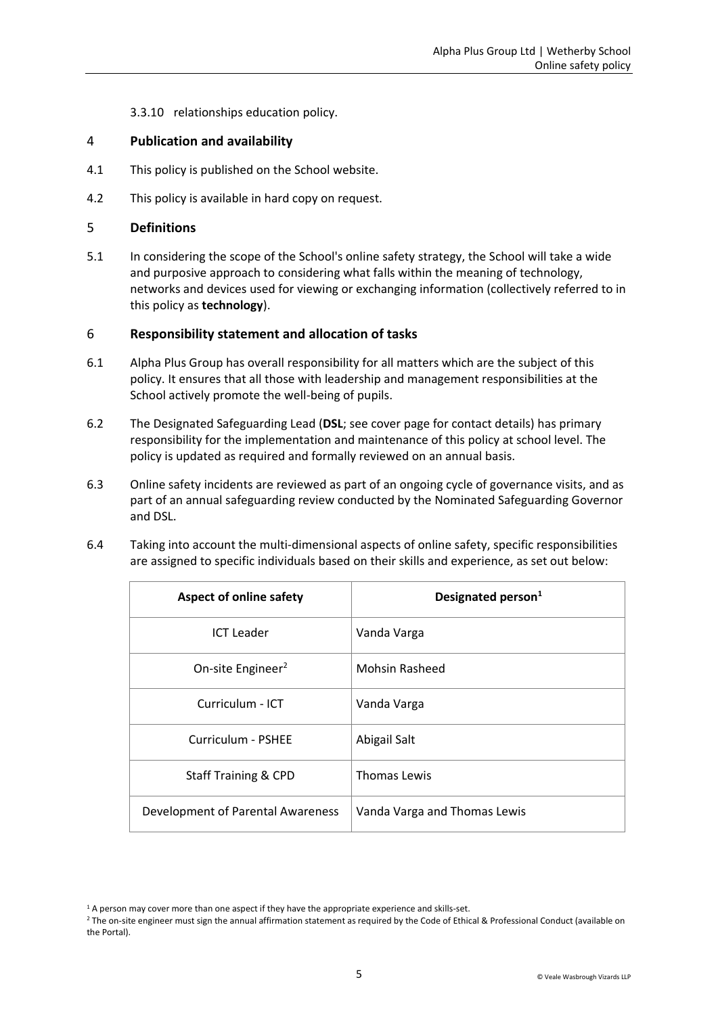3.3.10 relationships education policy.

#### <span id="page-4-0"></span>4 **Publication and availability**

- 4.1 This policy is published on the School website.
- 4.2 This policy is available in hard copy on request.

#### <span id="page-4-1"></span>5 **Definitions**

5.1 In considering the scope of the School's online safety strategy, the School will take a wide and purposive approach to considering what falls within the meaning of technology, networks and devices used for viewing or exchanging information (collectively referred to in this policy as **technology**).

#### <span id="page-4-2"></span>6 **Responsibility statement and allocation of tasks**

- 6.1 Alpha Plus Group has overall responsibility for all matters which are the subject of this policy. It ensures that all those with leadership and management responsibilities at the School actively promote the well-being of pupils.
- 6.2 The Designated Safeguarding Lead (**DSL**; see cover page for contact details) has primary responsibility for the implementation and maintenance of this policy at school level. The policy is updated as required and formally reviewed on an annual basis.
- 6.3 Online safety incidents are reviewed as part of an ongoing cycle of governance visits, and as part of an annual safeguarding review conducted by the Nominated Safeguarding Governor and DSL.
- 6.4 Taking into account the multi-dimensional aspects of online safety, specific responsibilities are assigned to specific individuals based on their skills and experience, as set out below:

<span id="page-4-3"></span>

| <b>Aspect of online safety</b>    | Designated person <sup>1</sup> |  |
|-----------------------------------|--------------------------------|--|
| <b>ICT Leader</b>                 | Vanda Varga                    |  |
| On-site Engineer <sup>2</sup>     | <b>Mohsin Rasheed</b>          |  |
| Curriculum - ICT                  | Vanda Varga                    |  |
| Curriculum - PSHEE                | Abigail Salt                   |  |
| <b>Staff Training &amp; CPD</b>   | Thomas Lewis                   |  |
| Development of Parental Awareness | Vanda Varga and Thomas Lewis   |  |

<sup>&</sup>lt;sup>1</sup> A person may cover more than one aspect if they have the appropriate experience and skills-set.

<sup>&</sup>lt;sup>2</sup> The on-site engineer must sign the annual affirmation statement as required by the Code of Ethical & Professional Conduct (available on the Portal).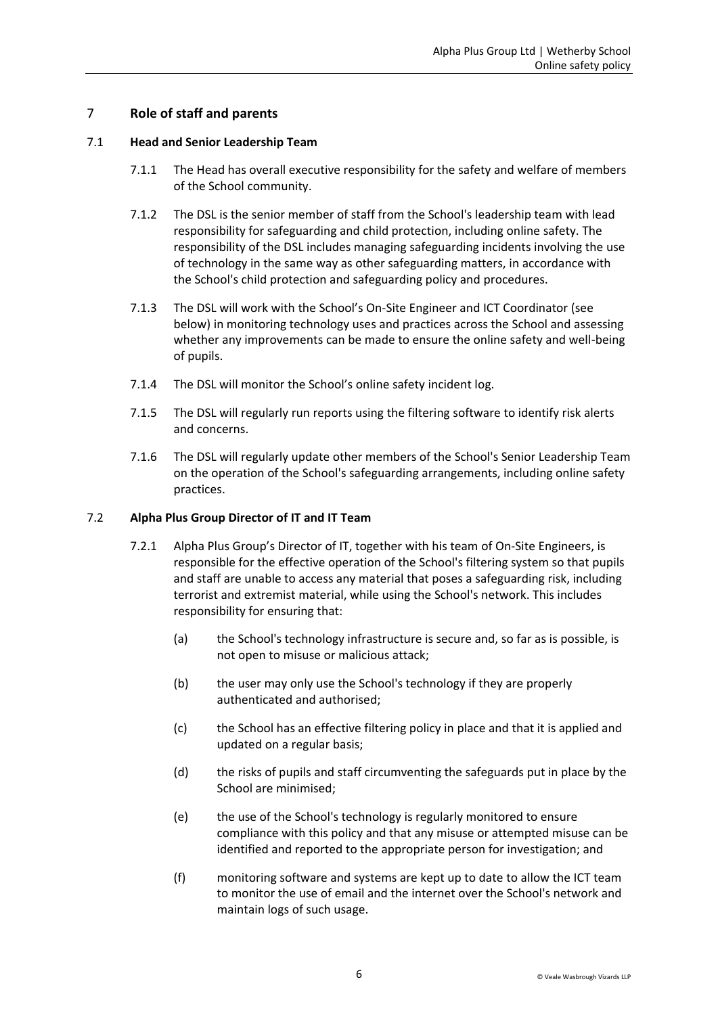### <span id="page-5-0"></span>7 **Role of staff and parents**

#### 7.1 **Head and Senior Leadership Team**

- 7.1.1 The Head has overall executive responsibility for the safety and welfare of members of the School community.
- 7.1.2 The DSL is the senior member of staff from the School's leadership team with lead responsibility for safeguarding and child protection, including online safety. The responsibility of the DSL includes managing safeguarding incidents involving the use of technology in the same way as other safeguarding matters, in accordance with the School's child protection and safeguarding policy and procedures.
- 7.1.3 The DSL will work with the School's On-Site Engineer and ICT Coordinator (see below) in monitoring technology uses and practices across the School and assessing whether any improvements can be made to ensure the online safety and well-being of pupils.
- 7.1.4 The DSL will monitor the School's online safety incident log.
- 7.1.5 The DSL will regularly run reports using the filtering software to identify risk alerts and concerns.
- 7.1.6 The DSL will regularly update other members of the School's Senior Leadership Team on the operation of the School's safeguarding arrangements, including online safety practices.

#### 7.2 **Alpha Plus Group Director of IT and IT Team**

- 7.2.1 Alpha Plus Group's Director of IT, together with his team of On-Site Engineers, is responsible for the effective operation of the School's filtering system so that pupils and staff are unable to access any material that poses a safeguarding risk, including terrorist and extremist material, while using the School's network. This includes responsibility for ensuring that:
	- (a) the School's technology infrastructure is secure and, so far as is possible, is not open to misuse or malicious attack;
	- (b) the user may only use the School's technology if they are properly authenticated and authorised;
	- (c) the School has an effective filtering policy in place and that it is applied and updated on a regular basis;
	- (d) the risks of pupils and staff circumventing the safeguards put in place by the School are minimised;
	- (e) the use of the School's technology is regularly monitored to ensure compliance with this policy and that any misuse or attempted misuse can be identified and reported to the appropriate person for investigation; and
	- (f) monitoring software and systems are kept up to date to allow the ICT team to monitor the use of email and the internet over the School's network and maintain logs of such usage.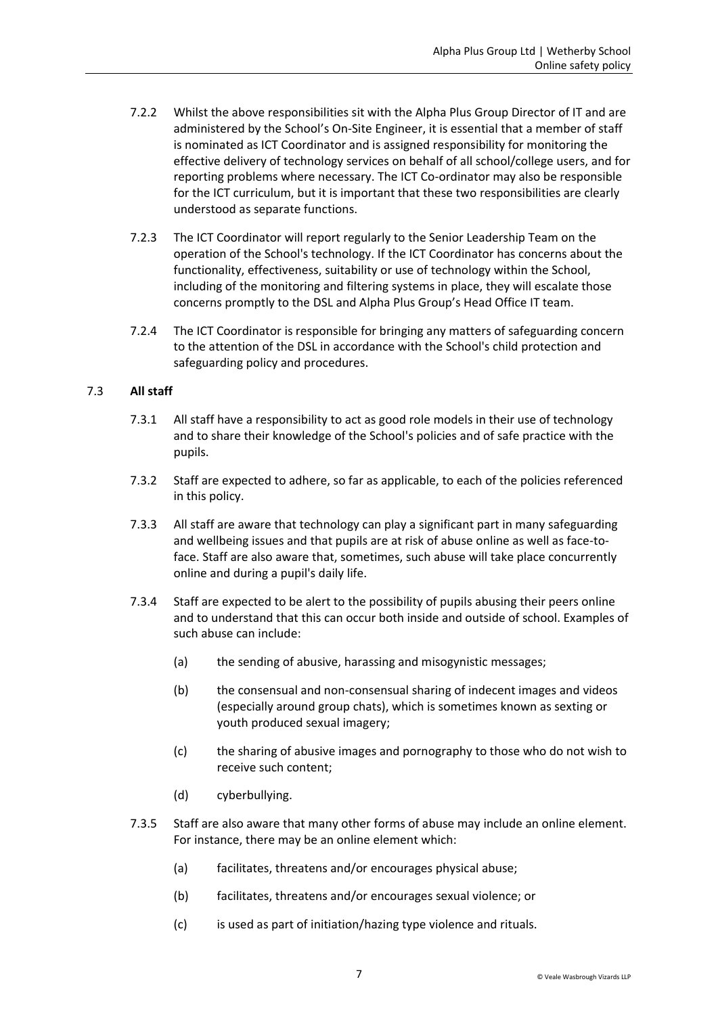- 7.2.2 Whilst the above responsibilities sit with the Alpha Plus Group Director of IT and are administered by the School's On-Site Engineer, it is essential that a member of staff is nominated as ICT Coordinator and is assigned responsibility for monitoring the effective delivery of technology services on behalf of all school/college users, and for reporting problems where necessary. The ICT Co-ordinator may also be responsible for the ICT curriculum, but it is important that these two responsibilities are clearly understood as separate functions.
- 7.2.3 The ICT Coordinator will report regularly to the Senior Leadership Team on the operation of the School's technology. If the ICT Coordinator has concerns about the functionality, effectiveness, suitability or use of technology within the School, including of the monitoring and filtering systems in place, they will escalate those concerns promptly to the DSL and Alpha Plus Group's Head Office IT team.
- 7.2.4 The ICT Coordinator is responsible for bringing any matters of safeguarding concern to the attention of the DSL in accordance with the School's child protection and safeguarding policy and procedures.

#### 7.3 **All staff**

- 7.3.1 All staff have a responsibility to act as good role models in their use of technology and to share their knowledge of the School's policies and of safe practice with the pupils.
- 7.3.2 Staff are expected to adhere, so far as applicable, to each of the policies referenced in this policy.
- 7.3.3 All staff are aware that technology can play a significant part in many safeguarding and wellbeing issues and that pupils are at risk of abuse online as well as face-toface. Staff are also aware that, sometimes, such abuse will take place concurrently online and during a pupil's daily life.
- 7.3.4 Staff are expected to be alert to the possibility of pupils abusing their peers online and to understand that this can occur both inside and outside of school. Examples of such abuse can include:
	- (a) the sending of abusive, harassing and misogynistic messages;
	- (b) the consensual and non-consensual sharing of indecent images and videos (especially around group chats), which is sometimes known as sexting or youth produced sexual imagery;
	- (c) the sharing of abusive images and pornography to those who do not wish to receive such content;
	- (d) cyberbullying.
- 7.3.5 Staff are also aware that many other forms of abuse may include an online element. For instance, there may be an online element which:
	- (a) facilitates, threatens and/or encourages physical abuse;
	- (b) facilitates, threatens and/or encourages sexual violence; or
	- (c) is used as part of initiation/hazing type violence and rituals.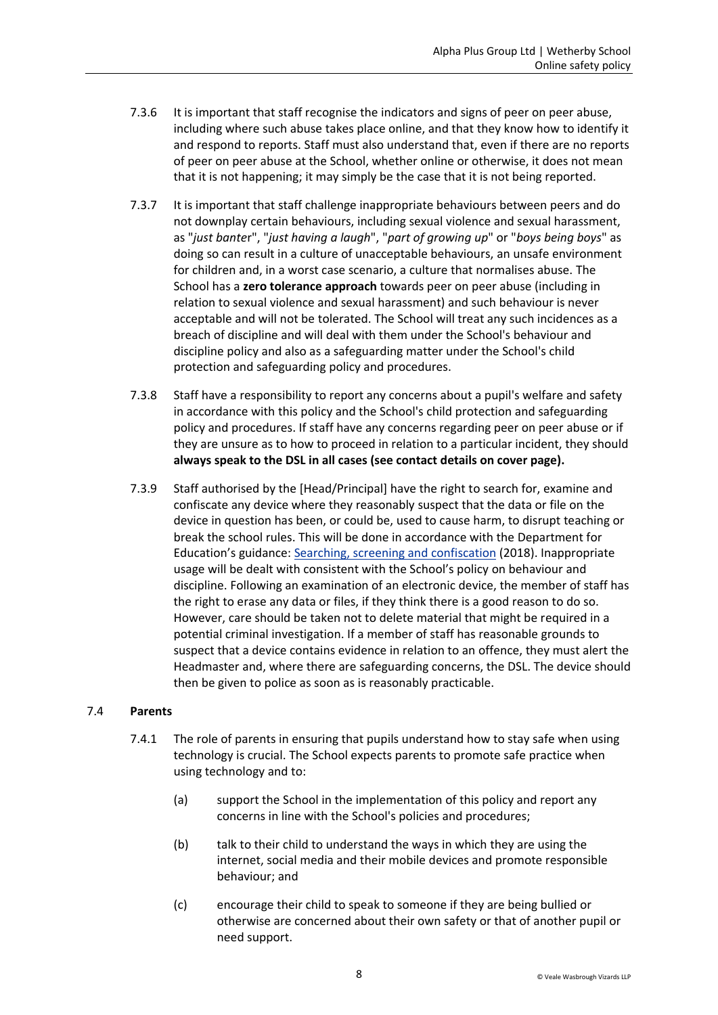- 7.3.6 It is important that staff recognise the indicators and signs of peer on peer abuse, including where such abuse takes place online, and that they know how to identify it and respond to reports. Staff must also understand that, even if there are no reports of peer on peer abuse at the School, whether online or otherwise, it does not mean that it is not happening; it may simply be the case that it is not being reported.
- 7.3.7 It is important that staff challenge inappropriate behaviours between peers and do not downplay certain behaviours, including sexual violence and sexual harassment, as "*just bante*r", "*just having a laugh*", "*part of growing up*" or "*boys being boys*" as doing so can result in a culture of unacceptable behaviours, an unsafe environment for children and, in a worst case scenario, a culture that normalises abuse. The School has a **zero tolerance approach** towards peer on peer abuse (including in relation to sexual violence and sexual harassment) and such behaviour is never acceptable and will not be tolerated. The School will treat any such incidences as a breach of discipline and will deal with them under the School's behaviour and discipline policy and also as a safeguarding matter under the School's child protection and safeguarding policy and procedures.
- 7.3.8 Staff have a responsibility to report any concerns about a pupil's welfare and safety in accordance with this policy and the School's child protection and safeguarding policy and procedures. If staff have any concerns regarding peer on peer abuse or if they are unsure as to how to proceed in relation to a particular incident, they should **always speak to the DSL in all cases (see contact details on cover page).**
- 7.3.9 Staff authorised by the [Head/Principal] have the right to search for, examine and confiscate any device where they reasonably suspect that the data or file on the device in question has been, or could be, used to cause harm, to disrupt teaching or break the school rules. This will be done in accordance with the Department for Education's guidance: [Searching, screening and confiscation](https://www.gov.uk/government/publications/searching-screening-and-confiscation) (2018). Inappropriate usage will be dealt with consistent with the School's policy on behaviour and discipline. Following an examination of an electronic device, the member of staff has the right to erase any data or files, if they think there is a good reason to do so. However, care should be taken not to delete material that might be required in a potential criminal investigation. If a member of staff has reasonable grounds to suspect that a device contains evidence in relation to an offence, they must alert the Headmaster and, where there are safeguarding concerns, the DSL. The device should then be given to police as soon as is reasonably practicable.

#### 7.4 **Parents**

- 7.4.1 The role of parents in ensuring that pupils understand how to stay safe when using technology is crucial. The School expects parents to promote safe practice when using technology and to:
	- (a) support the School in the implementation of this policy and report any concerns in line with the School's policies and procedures;
	- (b) talk to their child to understand the ways in which they are using the internet, social media and their mobile devices and promote responsible behaviour; and
	- (c) encourage their child to speak to someone if they are being bullied or otherwise are concerned about their own safety or that of another pupil or need support.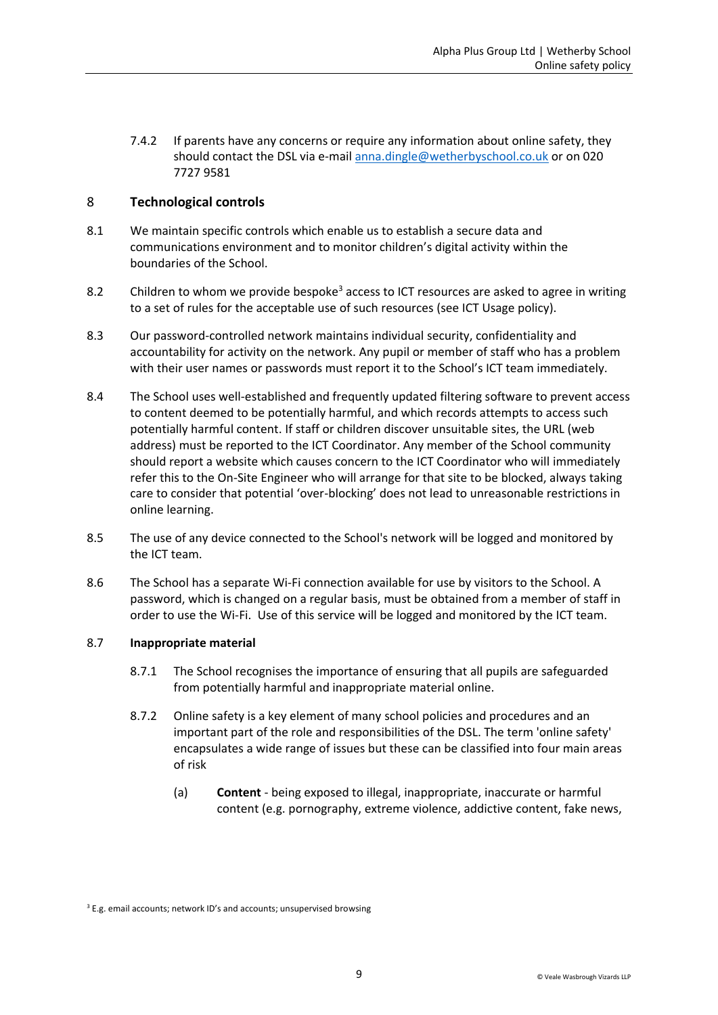7.4.2 If parents have any concerns or require any information about online safety, they should contact the DSL via e-mail [anna.dingle@wetherbyschool.co.uk](mailto:anna.dingle@wetherbyschool.co.uk) or on 020 7727 9581

### <span id="page-8-0"></span>8 **Technological controls**

- 8.1 We maintain specific controls which enable us to establish a secure data and communications environment and to monitor children's digital activity within the boundaries of the School.
- 8.2 Children to whom we provide bespoke<sup>3</sup> access to ICT resources are asked to agree in writing to a set of rules for the acceptable use of such resources (see ICT Usage policy).
- 8.3 Our password-controlled network maintains individual security, confidentiality and accountability for activity on the network. Any pupil or member of staff who has a problem with their user names or passwords must report it to the School's ICT team immediately.
- 8.4 The School uses well-established and frequently updated filtering software to prevent access to content deemed to be potentially harmful, and which records attempts to access such potentially harmful content. If staff or children discover unsuitable sites, the URL (web address) must be reported to the ICT Coordinator. Any member of the School community should report a website which causes concern to the ICT Coordinator who will immediately refer this to the On-Site Engineer who will arrange for that site to be blocked, always taking care to consider that potential 'over-blocking' does not lead to unreasonable restrictions in online learning.
- 8.5 The use of any device connected to the School's network will be logged and monitored by the ICT team.
- 8.6 The School has a separate Wi-Fi connection available for use by visitors to the School. A password, which is changed on a regular basis, must be obtained from a member of staff in order to use the Wi-Fi. Use of this service will be logged and monitored by the ICT team.

#### 8.7 **Inappropriate material**

- 8.7.1 The School recognises the importance of ensuring that all pupils are safeguarded from potentially harmful and inappropriate material online.
- 8.7.2 Online safety is a key element of many school policies and procedures and an important part of the role and responsibilities of the DSL. The term 'online safety' encapsulates a wide range of issues but these can be classified into four main areas of risk
	- (a) **Content** being exposed to illegal, inappropriate, inaccurate or harmful content (e.g. pornography, extreme violence, addictive content, fake news,

<sup>&</sup>lt;sup>3</sup> E.g. email accounts; network ID's and accounts; unsupervised browsing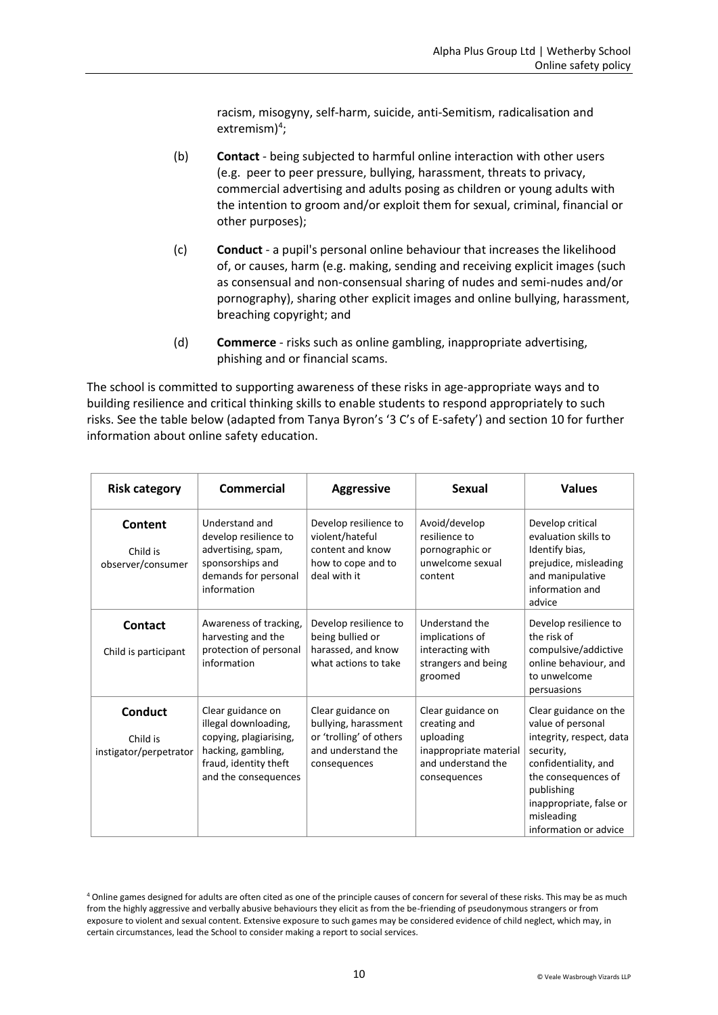racism, misogyny, self-harm, suicide, anti-Semitism, radicalisation and extremism $)^4$ ;

- (b) **Contact** being subjected to harmful online interaction with other users (e.g. peer to peer pressure, bullying, harassment, threats to privacy, commercial advertising and adults posing as children or young adults with the intention to groom and/or exploit them for sexual, criminal, financial or other purposes);
- (c) **Conduct** a pupil's personal online behaviour that increases the likelihood of, or causes, harm (e.g. making, sending and receiving explicit images (such as consensual and non-consensual sharing of nudes and semi-nudes and/or pornography), sharing other explicit images and online bullying, harassment, breaching copyright; and
- (d) **Commerce** risks such as online gambling, inappropriate advertising, phishing and or financial scams.

The school is committed to supporting awareness of these risks in age-appropriate ways and to building resilience and critical thinking skills to enable students to respond appropriately to such risks. See the table below (adapted from Tanya Byron's '3 C's of E-safety') and section 10 for further information about online safety education.

| <b>Risk category</b>                                 | <b>Commercial</b>                                                                                                                          | <b>Aggressive</b>                                                                                          | <b>Sexual</b>                                                                                                  | <b>Values</b>                                                                                                                                                                                                      |
|------------------------------------------------------|--------------------------------------------------------------------------------------------------------------------------------------------|------------------------------------------------------------------------------------------------------------|----------------------------------------------------------------------------------------------------------------|--------------------------------------------------------------------------------------------------------------------------------------------------------------------------------------------------------------------|
| Content<br>Child is<br>observer/consumer             | Understand and<br>develop resilience to<br>advertising, spam,<br>sponsorships and<br>demands for personal<br>information                   | Develop resilience to<br>violent/hateful<br>content and know<br>how to cope and to<br>deal with it         | Avoid/develop<br>resilience to<br>pornographic or<br>unwelcome sexual<br>content                               | Develop critical<br>evaluation skills to<br>Identify bias,<br>prejudice, misleading<br>and manipulative<br>information and<br>advice                                                                               |
| Contact<br>Child is participant                      | Awareness of tracking,<br>harvesting and the<br>protection of personal<br>information                                                      | Develop resilience to<br>being bullied or<br>harassed, and know<br>what actions to take                    | Understand the<br>implications of<br>interacting with<br>strangers and being<br>groomed                        | Develop resilience to<br>the risk of<br>compulsive/addictive<br>online behaviour, and<br>to unwelcome<br>persuasions                                                                                               |
| <b>Conduct</b><br>Child is<br>instigator/perpetrator | Clear guidance on<br>illegal downloading,<br>copying, plagiarising,<br>hacking, gambling,<br>fraud, identity theft<br>and the consequences | Clear guidance on<br>bullying, harassment<br>or 'trolling' of others<br>and understand the<br>consequences | Clear guidance on<br>creating and<br>uploading<br>inappropriate material<br>and understand the<br>consequences | Clear guidance on the<br>value of personal<br>integrity, respect, data<br>security,<br>confidentiality, and<br>the consequences of<br>publishing<br>inappropriate, false or<br>misleading<br>information or advice |

<sup>4</sup> Online games designed for adults are often cited as one of the principle causes of concern for several of these risks. This may be as much from the highly aggressive and verbally abusive behaviours they elicit as from the be-friending of pseudonymous strangers or from exposure to violent and sexual content. Extensive exposure to such games may be considered evidence of child neglect, which may, in certain circumstances, lead the School to consider making a report to social services.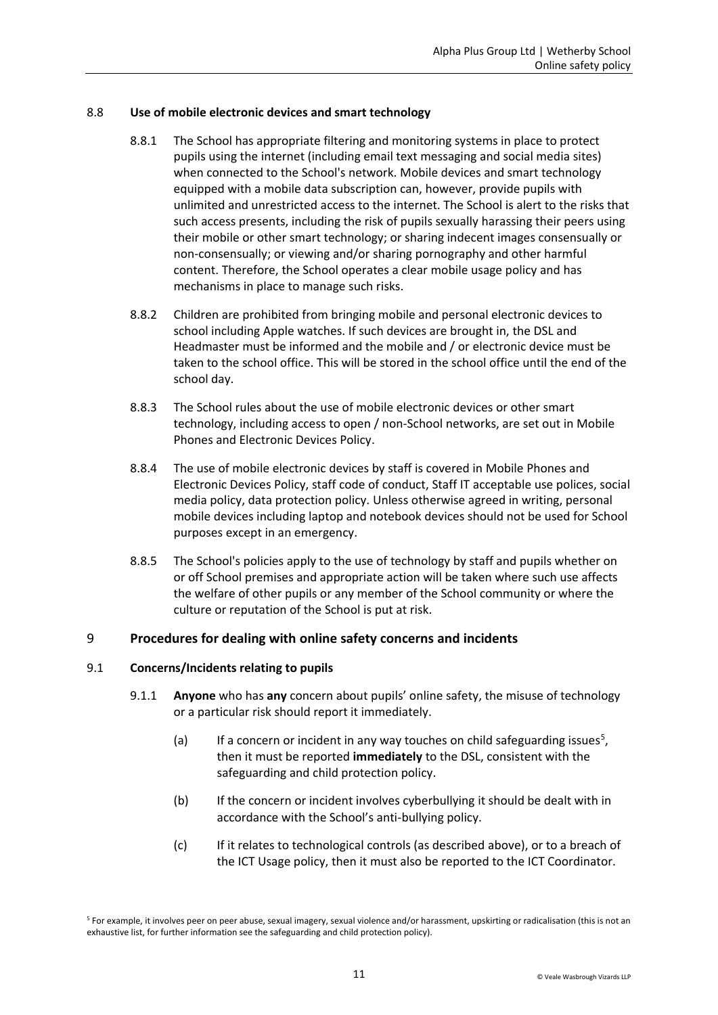#### 8.8 **Use of mobile electronic devices and smart technology**

- 8.8.1 The School has appropriate filtering and monitoring systems in place to protect pupils using the internet (including email text messaging and social media sites) when connected to the School's network. Mobile devices and smart technology equipped with a mobile data subscription can, however, provide pupils with unlimited and unrestricted access to the internet. The School is alert to the risks that such access presents, including the risk of pupils sexually harassing their peers using their mobile or other smart technology; or sharing indecent images consensually or non-consensually; or viewing and/or sharing pornography and other harmful content. Therefore, the School operates a clear mobile usage policy and has mechanisms in place to manage such risks.
- 8.8.2 Children are prohibited from bringing mobile and personal electronic devices to school including Apple watches. If such devices are brought in, the DSL and Headmaster must be informed and the mobile and / or electronic device must be taken to the school office. This will be stored in the school office until the end of the school day.
- 8.8.3 The School rules about the use of mobile electronic devices or other smart technology, including access to open / non-School networks, are set out in Mobile Phones and Electronic Devices Policy.
- 8.8.4 The use of mobile electronic devices by staff is covered in Mobile Phones and Electronic Devices Policy, staff code of conduct, Staff IT acceptable use polices, social media policy, data protection policy. Unless otherwise agreed in writing, personal mobile devices including laptop and notebook devices should not be used for School purposes except in an emergency.
- 8.8.5 The School's policies apply to the use of technology by staff and pupils whether on or off School premises and appropriate action will be taken where such use affects the welfare of other pupils or any member of the School community or where the culture or reputation of the School is put at risk.

### <span id="page-10-0"></span>9 **Procedures for dealing with online safety concerns and incidents**

#### 9.1 **Concerns/Incidents relating to pupils**

- 9.1.1 **Anyone** who has **any** concern about pupils' online safety, the misuse of technology or a particular risk should report it immediately.
	- (a) If a concern or incident in any way touches on child safeguarding issues<sup>5</sup>, then it must be reported **immediately** to the DSL, consistent with the safeguarding and child protection policy.
	- (b) If the concern or incident involves cyberbullying it should be dealt with in accordance with the School's anti-bullying policy.
	- (c) If it relates to technological controls (as described above), or to a breach of the ICT Usage policy, then it must also be reported to the ICT Coordinator.

<sup>5</sup> For example, it involves peer on peer abuse, sexual imagery, sexual violence and/or harassment, upskirting or radicalisation (this is not an exhaustive list, for further information see the safeguarding and child protection policy).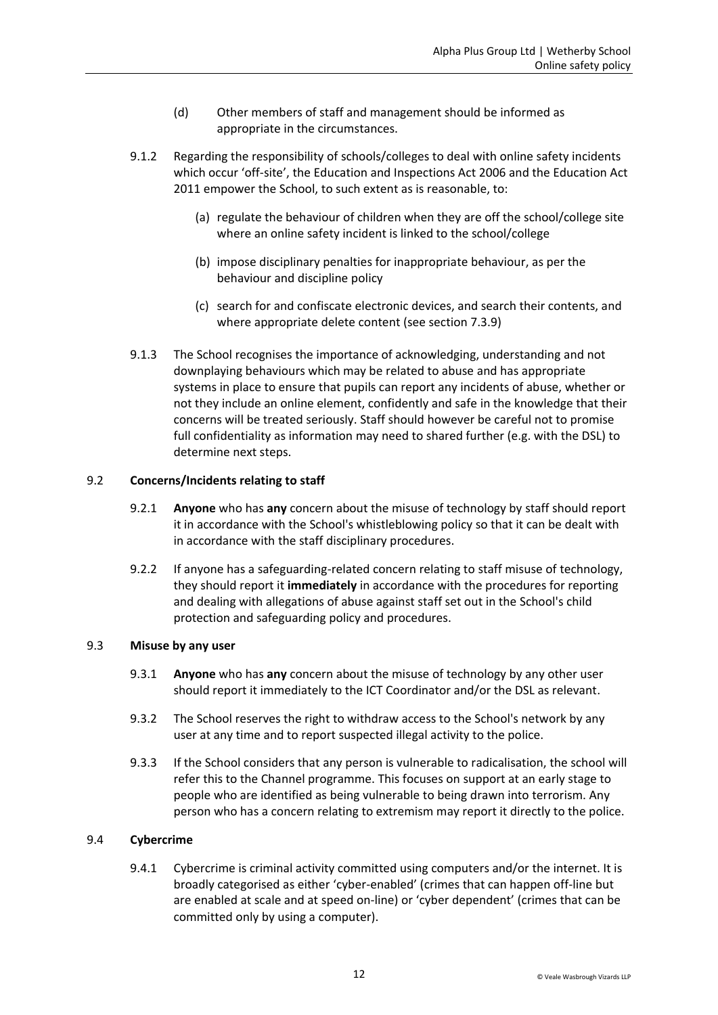- (d) Other members of staff and management should be informed as appropriate in the circumstances.
- 9.1.2 Regarding the responsibility of schools/colleges to deal with online safety incidents which occur 'off-site', the Education and Inspections Act 2006 and the Education Act 2011 empower the School, to such extent as is reasonable, to:
	- (a) regulate the behaviour of children when they are off the school/college site where an online safety incident is linked to the school/college
	- (b) impose disciplinary penalties for inappropriate behaviour, as per the behaviour and discipline policy
	- (c) search for and confiscate electronic devices, and search their contents, and where appropriate delete content (see section 7.3.9)
- 9.1.3 The School recognises the importance of acknowledging, understanding and not downplaying behaviours which may be related to abuse and has appropriate systems in place to ensure that pupils can report any incidents of abuse, whether or not they include an online element, confidently and safe in the knowledge that their concerns will be treated seriously. Staff should however be careful not to promise full confidentiality as information may need to shared further (e.g. with the DSL) to determine next steps.

#### 9.2 **Concerns/Incidents relating to staff**

- 9.2.1 **Anyone** who has **any** concern about the misuse of technology by staff should report it in accordance with the School's whistleblowing policy so that it can be dealt with in accordance with the staff disciplinary procedures.
- 9.2.2 If anyone has a safeguarding-related concern relating to staff misuse of technology, they should report it **immediately** in accordance with the procedures for reporting and dealing with allegations of abuse against staff set out in the School's child protection and safeguarding policy and procedures.

#### 9.3 **Misuse by any user**

- 9.3.1 **Anyone** who has **any** concern about the misuse of technology by any other user should report it immediately to the ICT Coordinator and/or the DSL as relevant.
- 9.3.2 The School reserves the right to withdraw access to the School's network by any user at any time and to report suspected illegal activity to the police.
- 9.3.3 If the School considers that any person is vulnerable to radicalisation, the school will refer this to the Channel programme. This focuses on support at an early stage to people who are identified as being vulnerable to being drawn into terrorism. Any person who has a concern relating to extremism may report it directly to the police.

#### 9.4 **Cybercrime**

9.4.1 Cybercrime is criminal activity committed using computers and/or the internet. It is broadly categorised as either 'cyber-enabled' (crimes that can happen off-line but are enabled at scale and at speed on-line) or 'cyber dependent' (crimes that can be committed only by using a computer).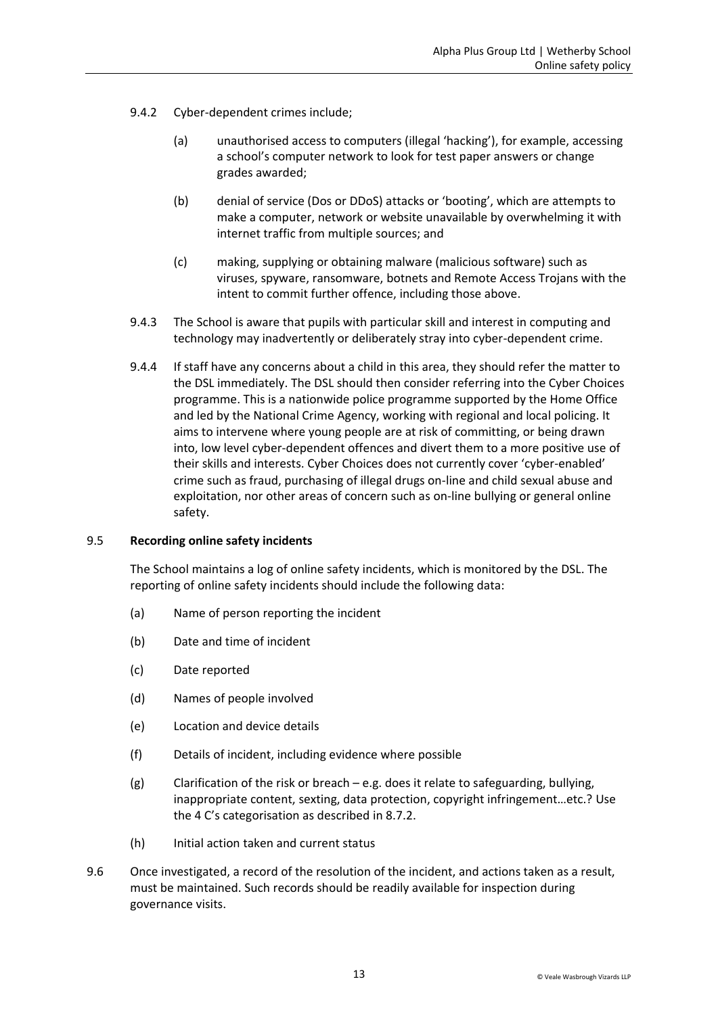- 9.4.2 Cyber-dependent crimes include;
	- (a) unauthorised access to computers (illegal 'hacking'), for example, accessing a school's computer network to look for test paper answers or change grades awarded;
	- (b) denial of service (Dos or DDoS) attacks or 'booting', which are attempts to make a computer, network or website unavailable by overwhelming it with internet traffic from multiple sources; and
	- (c) making, supplying or obtaining malware (malicious software) such as viruses, spyware, ransomware, botnets and Remote Access Trojans with the intent to commit further offence, including those above.
- 9.4.3 The School is aware that pupils with particular skill and interest in computing and technology may inadvertently or deliberately stray into cyber-dependent crime.
- 9.4.4 If staff have any concerns about a child in this area, they should refer the matter to the DSL immediately. The DSL should then consider referring into the Cyber Choices programme. This is a nationwide police programme supported by the Home Office and led by the National Crime Agency, working with regional and local policing. It aims to intervene where young people are at risk of committing, or being drawn into, low level cyber-dependent offences and divert them to a more positive use of their skills and interests. Cyber Choices does not currently cover 'cyber-enabled' crime such as fraud, purchasing of illegal drugs on-line and child sexual abuse and exploitation, nor other areas of concern such as on-line bullying or general online safety.

#### 9.5 **Recording online safety incidents**

The School maintains a log of online safety incidents, which is monitored by the DSL. The reporting of online safety incidents should include the following data:

- (a) Name of person reporting the incident
- (b) Date and time of incident
- (c) Date reported
- (d) Names of people involved
- (e) Location and device details
- (f) Details of incident, including evidence where possible
- (g) Clarification of the risk or breach e.g. does it relate to safeguarding, bullying, inappropriate content, sexting, data protection, copyright infringement…etc.? Use the 4 C's categorisation as described in 8.7.2.
- (h) Initial action taken and current status
- 9.6 Once investigated, a record of the resolution of the incident, and actions taken as a result, must be maintained. Such records should be readily available for inspection during governance visits.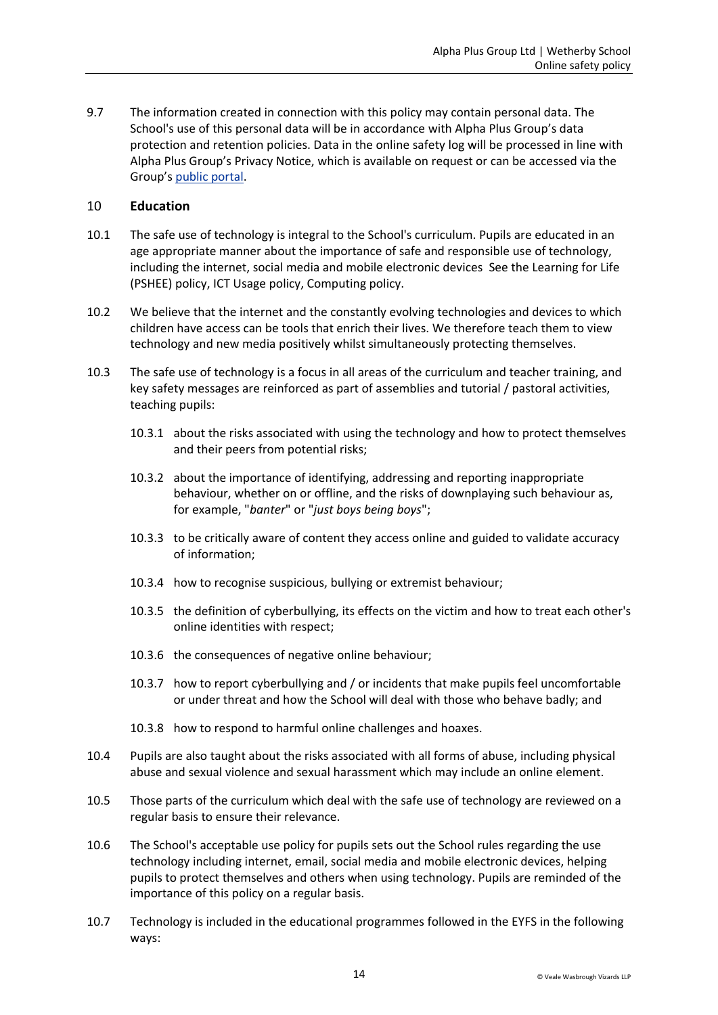9.7 The information created in connection with this policy may contain personal data. The School's use of this personal data will be in accordance with Alpha Plus Group's data protection and retention policies. Data in the online safety log will be processed in line with Alpha Plus Group's Privacy Notice, which is available on request or can be accessed via the Group's [public portal.](https://public-egiportal.alphaplusgroup.co.uk/Alpha%20Plus%20Group%20Documents/Privacy%20Policy%20for%20Students%20and%20Parents.pdf)

#### <span id="page-13-0"></span>10 **Education**

- 10.1 The safe use of technology is integral to the School's curriculum. Pupils are educated in an age appropriate manner about the importance of safe and responsible use of technology, including the internet, social media and mobile electronic devices See the Learning for Life (PSHEE) policy, ICT Usage policy, Computing policy.
- 10.2 We believe that the internet and the constantly evolving technologies and devices to which children have access can be tools that enrich their lives. We therefore teach them to view technology and new media positively whilst simultaneously protecting themselves.
- 10.3 The safe use of technology is a focus in all areas of the curriculum and teacher training, and key safety messages are reinforced as part of assemblies and tutorial / pastoral activities, teaching pupils:
	- 10.3.1 about the risks associated with using the technology and how to protect themselves and their peers from potential risks;
	- 10.3.2 about the importance of identifying, addressing and reporting inappropriate behaviour, whether on or offline, and the risks of downplaying such behaviour as, for example, "*banter*" or "*just boys being boys*";
	- 10.3.3 to be critically aware of content they access online and guided to validate accuracy of information;
	- 10.3.4 how to recognise suspicious, bullying or extremist behaviour;
	- 10.3.5 the definition of cyberbullying, its effects on the victim and how to treat each other's online identities with respect;
	- 10.3.6 the consequences of negative online behaviour;
	- 10.3.7 how to report cyberbullying and / or incidents that make pupils feel uncomfortable or under threat and how the School will deal with those who behave badly; and
	- 10.3.8 how to respond to harmful online challenges and hoaxes.
- 10.4 Pupils are also taught about the risks associated with all forms of abuse, including physical abuse and sexual violence and sexual harassment which may include an online element.
- 10.5 Those parts of the curriculum which deal with the safe use of technology are reviewed on a regular basis to ensure their relevance.
- 10.6 The School's acceptable use policy for pupils sets out the School rules regarding the use technology including internet, email, social media and mobile electronic devices, helping pupils to protect themselves and others when using technology. Pupils are reminded of the importance of this policy on a regular basis.
- 10.7 Technology is included in the educational programmes followed in the EYFS in the following ways: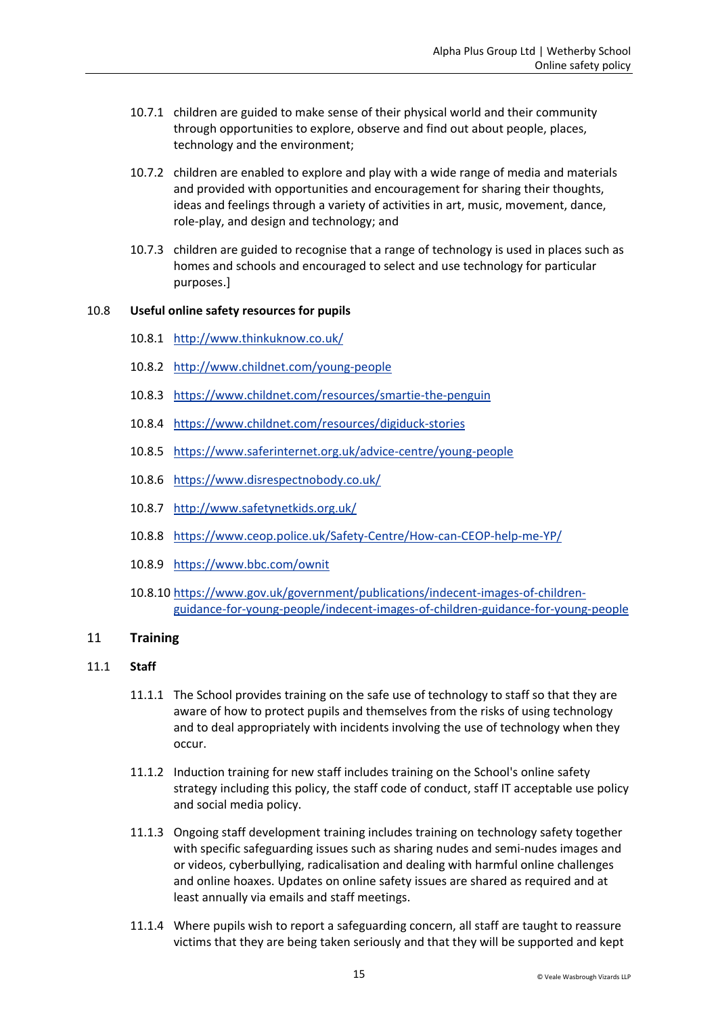- 10.7.1 children are guided to make sense of their physical world and their community through opportunities to explore, observe and find out about people, places, technology and the environment;
- 10.7.2 children are enabled to explore and play with a wide range of media and materials and provided with opportunities and encouragement for sharing their thoughts, ideas and feelings through a variety of activities in art, music, movement, dance, role-play, and design and technology; and
- 10.7.3 children are guided to recognise that a range of technology is used in places such as homes and schools and encouraged to select and use technology for particular purposes.]

#### 10.8 **Useful online safety resources for pupils**

- 10.8.1 <http://www.thinkuknow.co.uk/>
- 10.8.2 <http://www.childnet.com/young-people>
- 10.8.3 https://www.childnet.com/resources/smartie-the-penguin
- 10.8.4 https://www.childnet.com/resources/digiduck-stories
- 10.8.5 <https://www.saferinternet.org.uk/advice-centre/young-people>
- 10.8.6 <https://www.disrespectnobody.co.uk/>
- 10.8.7 <http://www.safetynetkids.org.uk/>
- 10.8.8 <https://www.ceop.police.uk/Safety-Centre/How-can-CEOP-help-me-YP/>
- 10.8.9 <https://www.bbc.com/ownit>
- 10.8.10 [https://www.gov.uk/government/publications/indecent-images-of-children](https://www.gov.uk/government/publications/indecent-images-of-children-guidance-for-young-people/indecent-images-of-children-guidance-for-young-people)[guidance-for-young-people/indecent-images-of-children-guidance-for-young-people](https://www.gov.uk/government/publications/indecent-images-of-children-guidance-for-young-people/indecent-images-of-children-guidance-for-young-people)

#### <span id="page-14-0"></span>11 **Training**

#### 11.1 **Staff**

- 11.1.1 The School provides training on the safe use of technology to staff so that they are aware of how to protect pupils and themselves from the risks of using technology and to deal appropriately with incidents involving the use of technology when they occur.
- 11.1.2 Induction training for new staff includes training on the School's online safety strategy including this policy, the staff code of conduct, staff IT acceptable use policy and social media policy.
- 11.1.3 Ongoing staff development training includes training on technology safety together with specific safeguarding issues such as sharing nudes and semi-nudes images and or videos, cyberbullying, radicalisation and dealing with harmful online challenges and online hoaxes. Updates on online safety issues are shared as required and at least annually via emails and staff meetings.
- 11.1.4 Where pupils wish to report a safeguarding concern, all staff are taught to reassure victims that they are being taken seriously and that they will be supported and kept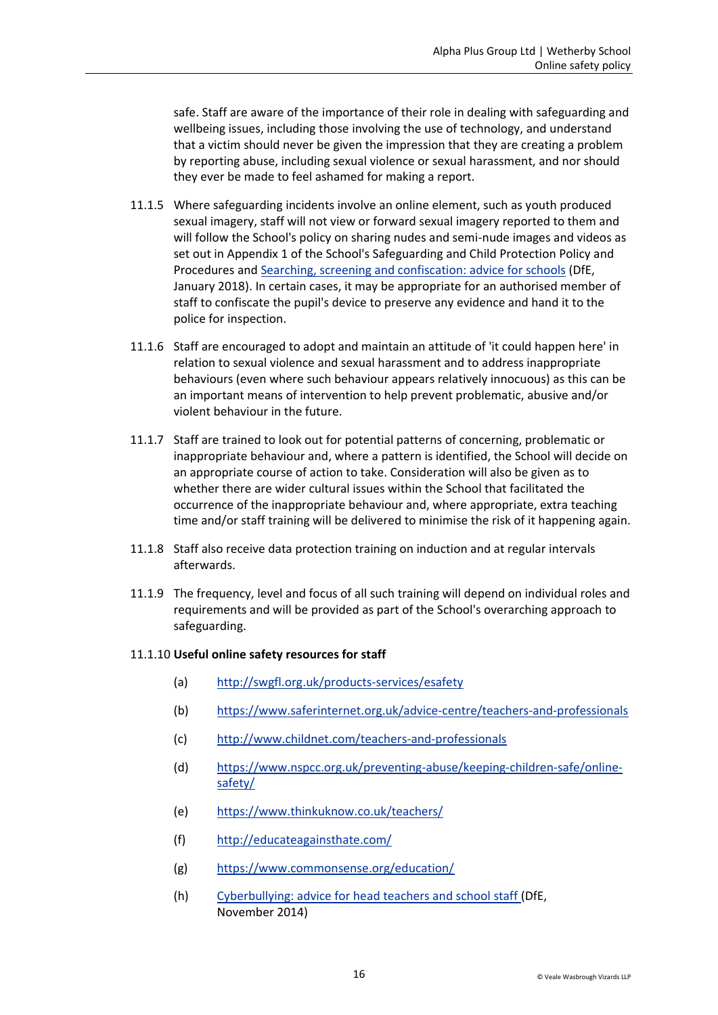safe. Staff are aware of the importance of their role in dealing with safeguarding and wellbeing issues, including those involving the use of technology, and understand that a victim should never be given the impression that they are creating a problem by reporting abuse, including sexual violence or sexual harassment, and nor should they ever be made to feel ashamed for making a report.

- 11.1.5 Where safeguarding incidents involve an online element, such as youth produced sexual imagery, staff will not view or forward sexual imagery reported to them and will follow the School's policy on sharing nudes and semi-nude images and videos as set out in Appendix 1 of the School's Safeguarding and Child Protection Policy and Procedures and [Searching, screening and confiscation: advice for schools](https://www.gov.uk/government/publications/searching-screening-and-confiscation) (DfE, January 2018). In certain cases, it may be appropriate for an authorised member of staff to confiscate the pupil's device to preserve any evidence and hand it to the police for inspection.
- 11.1.6 Staff are encouraged to adopt and maintain an attitude of 'it could happen here' in relation to sexual violence and sexual harassment and to address inappropriate behaviours (even where such behaviour appears relatively innocuous) as this can be an important means of intervention to help prevent problematic, abusive and/or violent behaviour in the future.
- 11.1.7 Staff are trained to look out for potential patterns of concerning, problematic or inappropriate behaviour and, where a pattern is identified, the School will decide on an appropriate course of action to take. Consideration will also be given as to whether there are wider cultural issues within the School that facilitated the occurrence of the inappropriate behaviour and, where appropriate, extra teaching time and/or staff training will be delivered to minimise the risk of it happening again.
- 11.1.8 Staff also receive data protection training on induction and at regular intervals afterwards.
- 11.1.9 The frequency, level and focus of all such training will depend on individual roles and requirements and will be provided as part of the School's overarching approach to safeguarding.

#### 11.1.10 **Useful online safety resources for staff**

- (a) <http://swgfl.org.uk/products-services/esafety>
- (b) <https://www.saferinternet.org.uk/advice-centre/teachers-and-professionals>
- (c) <http://www.childnet.com/teachers-and-professionals>
- (d) [https://www.nspcc.org.uk/preventing-abuse/keeping-children-safe/online](https://www.nspcc.org.uk/preventing-abuse/keeping-children-safe/online-safety/)[safety/](https://www.nspcc.org.uk/preventing-abuse/keeping-children-safe/online-safety/)
- (e) <https://www.thinkuknow.co.uk/teachers/>
- (f) <http://educateagainsthate.com/>
- (g) <https://www.commonsense.org/education/>
- (h) [Cyberbullying: advice for head teachers and school staff \(](https://www.gov.uk/government/publications/preventing-and-tackling-bullying)DfE, November 2014)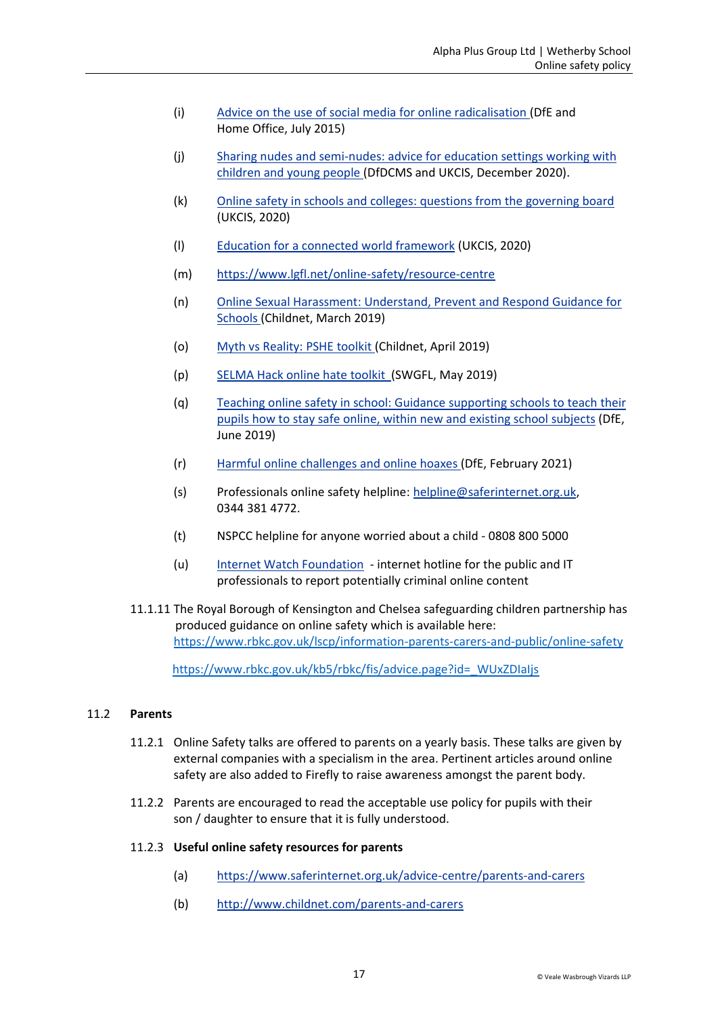- (i) [Advice on the use of social media for online radicalisation](https://www.gov.uk/government/publications/the-use-of-social-media-for-online-radicalisation) (DfE and Home Office, July 2015)
- (j) [Sharing nudes and semi-nudes: advice for education settings working with](https://www.gov.uk/government/publications/sharing-nudes-and-semi-nudes-advice-for-education-settings-working-with-children-and-young-people/sharing-nudes-and-semi-nudes-advice-for-education-settings-working-with-children-and-young-people#sec2)  [children and young people](https://www.gov.uk/government/publications/sharing-nudes-and-semi-nudes-advice-for-education-settings-working-with-children-and-young-people/sharing-nudes-and-semi-nudes-advice-for-education-settings-working-with-children-and-young-people#sec2) (DfDCMS and UKCIS, December 2020).
- (k) [Online safety in schools and colleges: questions from the governing board](https://www.gov.uk/government/uploads/system/uploads/attachment_data/file/562876/Guidance_for_School_Governors_-_Question_list.pdf)  (UKCIS, 2020)
- (l) [Education for a connected world framework](https://assets.publishing.service.gov.uk/government/uploads/system/uploads/attachment_data/file/683895/Education_for_a_connected_world_PDF.PDF) (UKCIS, 2020)
- (m) <https://www.lgfl.net/online-safety/resource-centre>
- (n) [Online Sexual Harassment: Understand, Prevent and Respond Guidance for](https://www.childnet.com/resources/step-up-speak-up/guidance-and-training-for-schools-and-professionals)  [Schools \(](https://www.childnet.com/resources/step-up-speak-up/guidance-and-training-for-schools-and-professionals)Childnet, March 2019)
- (o) [Myth vs Reality: PSHE](https://www.childnet.com/resources/pshe-toolkit/myth-vs-reality) toolkit (Childnet, April 2019)
- (p) [SELMA Hack online hate toolkit](https://selma.swgfl.co.uk/) (SWGFL, May 2019)
- (q) [Teaching online safety in school: Guidance supporting schools to](https://www.gov.uk/government/publications/teaching-online-safety-in-schools) teach their [pupils how to stay safe online, within new and existing school subjects](https://www.gov.uk/government/publications/teaching-online-safety-in-schools) (DfE, June 2019)
- (r) [Harmful online challenges and online hoaxes \(](https://www.gov.uk/government/publications/harmful-online-challenges-and-online-hoaxes/harmful-online-challenges-and-online-hoaxes)DfE, February 2021)
- (s) [Professionals online safety helpline:](https://www.saferinternet.org.uk/helpline/professionals-online-safety-helpline) [helpline@saferinternet.org.uk,](mailto:helpline@saferinternet.org.uk) 0344 381 4772.
- (t) NSPCC helpline for anyone worried about a child 0808 800 5000
- (u) Internet Watch Foundation [internet hotline for the public and IT](https://www.iwf.org.uk/)  [professionals to report potentially criminal online content](https://www.iwf.org.uk/)
- 11.1.11 The Royal Borough of Kensington and Chelsea safeguarding children partnership has produced guidance on online safety which is available here: <https://www.rbkc.gov.uk/lscp/information-parents-carers-and-public/online-safety>

[https://www.rbkc.gov.uk/kb5/rbkc/fis/advice.page?id=\\_WUxZDIaIjs](file:///G:/RBKC)

#### 11.2 **Parents**

- 11.2.1 Online Safety talks are offered to parents on a yearly basis. These talks are given by external companies with a specialism in the area. Pertinent articles around online safety are also added to Firefly to raise awareness amongst the parent body.
- 11.2.2 Parents are encouraged to read the acceptable use policy for pupils with their son / daughter to ensure that it is fully understood.
- 11.2.3 **Useful online safety resources for parents**
	- (a) <https://www.saferinternet.org.uk/advice-centre/parents-and-carers>
	- (b) <http://www.childnet.com/parents-and-carers>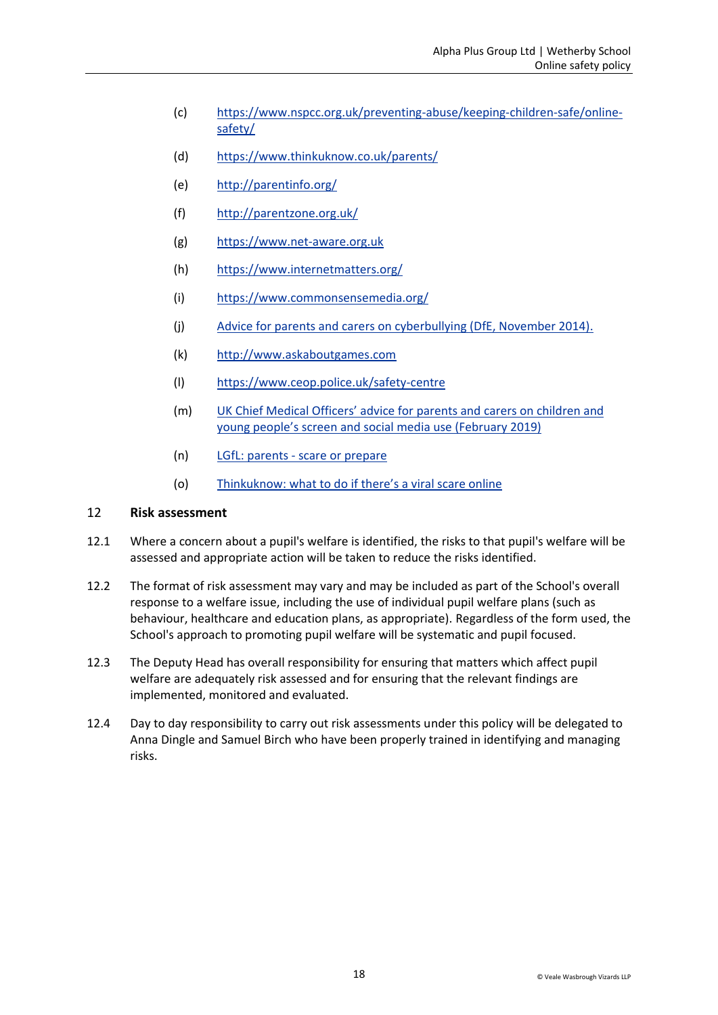- (c) [https://www.nspcc.org.uk/preventing-abuse/keeping-children-safe/online](https://www.nspcc.org.uk/preventing-abuse/keeping-children-safe/online-safety/)[safety/](https://www.nspcc.org.uk/preventing-abuse/keeping-children-safe/online-safety/)
- (d) <https://www.thinkuknow.co.uk/parents/>
- (e) <http://parentinfo.org/>
- (f) <http://parentzone.org.uk/>
- (g) [https://www.net-aware.org.uk](https://www.net-aware.org.uk/)
- (h) <https://www.internetmatters.org/>
- (i) <https://www.commonsensemedia.org/>
- (j) [Advice for parents and carers on cyberbullying \(DfE, November 2014\).](https://www.gov.uk/government/uploads/system/uploads/attachment_data/file/444865/Advice_for_parents_on_cyberbullying.pdf)
- (k) [http://www.askaboutgames.com](http://www.askaboutgames.com/)
- (l) <https://www.ceop.police.uk/safety-centre>
- (m) UK Chief Medical Officers[' advice for parents and carers on children and](https://assets.publishing.service.gov.uk/government/uploads/system/uploads/attachment_data/file/777026/UK_CMO_commentary_on_screentime_and_social_media_map_of_reviews.pdf)  [young people's screen and social media use \(February 2019\)](https://assets.publishing.service.gov.uk/government/uploads/system/uploads/attachment_data/file/777026/UK_CMO_commentary_on_screentime_and_social_media_map_of_reviews.pdf)
- (n) LGfL: parents [scare or prepare](https://safeblog.lgfl.net/2018/11/parents-scare-or-prepare/)
- (o) [Thinkuknow: what to do if there's a viral scare online](https://www.thinkuknow.co.uk/parents/articles/theres-a-viral-scare-online-what-should-i-do/)

#### <span id="page-17-0"></span>12 **Risk assessment**

- 12.1 Where a concern about a pupil's welfare is identified, the risks to that pupil's welfare will be assessed and appropriate action will be taken to reduce the risks identified.
- 12.2 The format of risk assessment may vary and may be included as part of the School's overall response to a welfare issue, including the use of individual pupil welfare plans (such as behaviour, healthcare and education plans, as appropriate). Regardless of the form used, the School's approach to promoting pupil welfare will be systematic and pupil focused.
- 12.3 The Deputy Head has overall responsibility for ensuring that matters which affect pupil welfare are adequately risk assessed and for ensuring that the relevant findings are implemented, monitored and evaluated.
- 12.4 Day to day responsibility to carry out risk assessments under this policy will be delegated to Anna Dingle and Samuel Birch who have been properly trained in identifying and managing risks.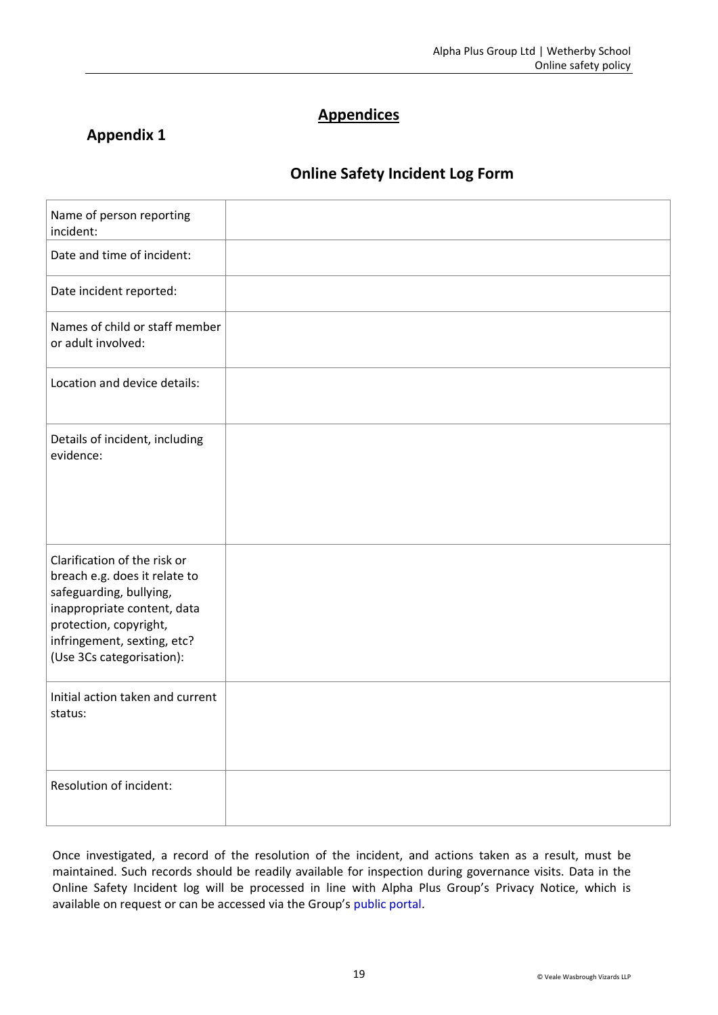# **Appendices**

# **Appendix 1**

# **Online Safety Incident Log Form**

| Name of person reporting<br>incident:                                                                                                                                                                         |  |
|---------------------------------------------------------------------------------------------------------------------------------------------------------------------------------------------------------------|--|
| Date and time of incident:                                                                                                                                                                                    |  |
| Date incident reported:                                                                                                                                                                                       |  |
| Names of child or staff member<br>or adult involved:                                                                                                                                                          |  |
| Location and device details:                                                                                                                                                                                  |  |
| Details of incident, including<br>evidence:                                                                                                                                                                   |  |
| Clarification of the risk or<br>breach e.g. does it relate to<br>safeguarding, bullying,<br>inappropriate content, data<br>protection, copyright,<br>infringement, sexting, etc?<br>(Use 3Cs categorisation): |  |
| Initial action taken and current<br>status:                                                                                                                                                                   |  |
| Resolution of incident:                                                                                                                                                                                       |  |

Once investigated, a record of the resolution of the incident, and actions taken as a result, must be maintained. Such records should be readily available for inspection during governance visits. Data in the Online Safety Incident log will be processed in line with Alpha Plus Group's Privacy Notice, which is available on request or can be accessed via the Group's [public portal.](https://public-egiportal.alphaplusgroup.co.uk/Alpha%20Plus%20Group%20Documents/Privacy%20Policy%20for%20Students%20and%20Parents.pdf)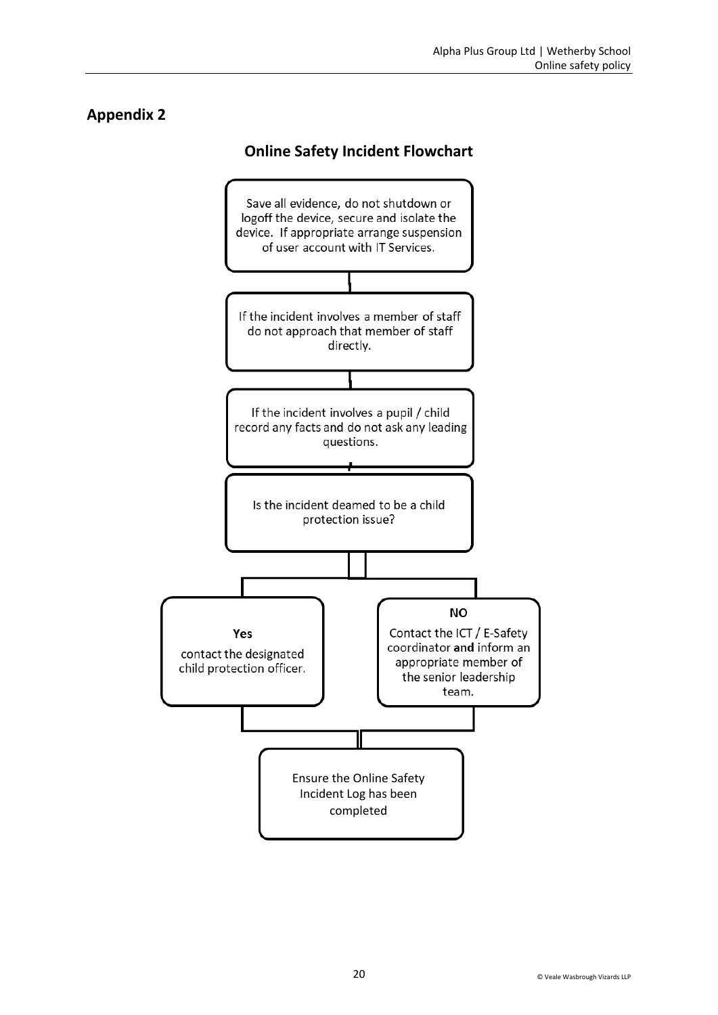# **Appendix 2**

# **Online Safety Incident Flowchart**